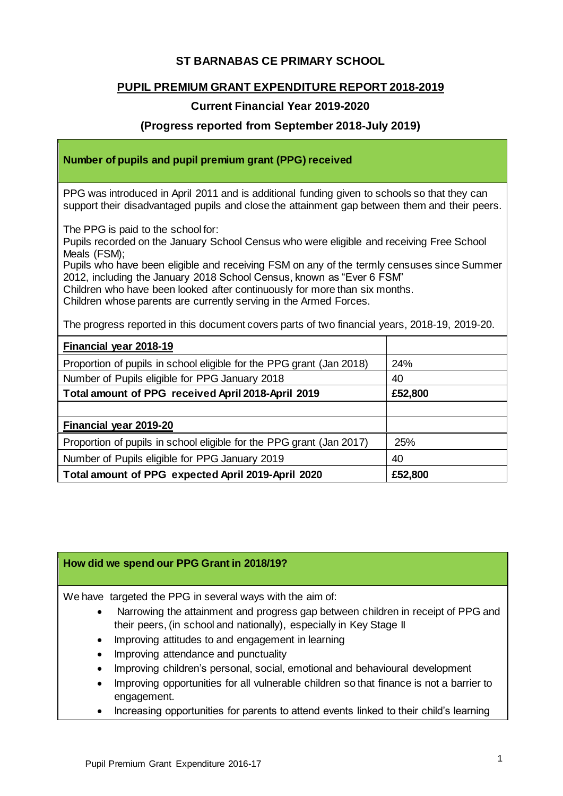## **ST BARNABAS CE PRIMARY SCHOOL**

### **PUPIL PREMIUM GRANT EXPENDITURE REPORT 2018-2019**

### **Current Financial Year 2019-2020**

#### **(Progress reported from September 2018-July 2019)**

#### **Number of pupils and pupil premium grant (PPG) received**

PPG was introduced in April 2011 and is additional funding given to schools so that they can support their disadvantaged pupils and close the attainment gap between them and their peers.

The PPG is paid to the school for:

Pupils recorded on the January School Census who were eligible and receiving Free School Meals (FSM);

Pupils who have been eligible and receiving FSM on any of the termly censuses since Summer 2012, including the January 2018 School Census, known as "Ever 6 FSM"

Children who have been looked after continuously for more than six months.

Children whose parents are currently serving in the Armed Forces.

The progress reported in this document covers parts of two financial years, 2018-19, 2019-20.

| Financial year 2018-19                                               |         |
|----------------------------------------------------------------------|---------|
| Proportion of pupils in school eligible for the PPG grant (Jan 2018) | 24%     |
| Number of Pupils eligible for PPG January 2018                       | 40      |
| Total amount of PPG received April 2018-April 2019                   | £52,800 |
|                                                                      |         |
| Financial year 2019-20                                               |         |
| Proportion of pupils in school eligible for the PPG grant (Jan 2017) | 25%     |
| Number of Pupils eligible for PPG January 2019                       | 40      |
| Total amount of PPG expected April 2019-April 2020                   | £52,800 |

#### **How did we spend our PPG Grant in 2018/19?**

We have targeted the PPG in several ways with the aim of:

- Narrowing the attainment and progress gap between children in receipt of PPG and their peers, (in school and nationally), especially in Key Stage II
- Improving attitudes to and engagement in learning
- Improving attendance and punctuality
- Improving children's personal, social, emotional and behavioural development
- Improving opportunities for all vulnerable children so that finance is not a barrier to engagement.
- Increasing opportunities for parents to attend events linked to their child's learning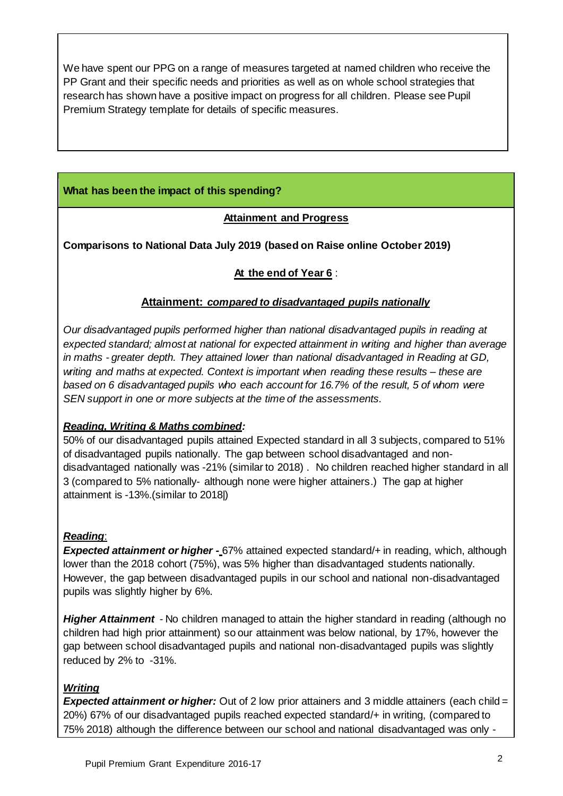We have spent our PPG on a range of measures targeted at named children who receive the PP Grant and their specific needs and priorities as well as on whole school strategies that research has shown have a positive impact on progress for all children. Please see Pupil Premium Strategy template for details of specific measures.

### **What has been the impact of this spending?**

#### **Attainment and Progress**

**Comparisons to National Data July 2019 (based on Raise online October 2019)**

### **At the end of Year 6** :

### **Attainment:** *compared to disadvantaged pupils nationally*

*Our disadvantaged pupils performed higher than national disadvantaged pupils in reading at expected standard; almost at national for expected attainment in writing and higher than average in maths - greater depth. They attained lower than national disadvantaged in Reading at GD, writing and maths at expected. Context is important when reading these results – these are based on 6 disadvantaged pupils who each account for 16.7% of the result, 5 of whom were SEN support in one or more subjects at the time of the assessments.*

#### *Reading, Writing & Maths combined:*

50% of our disadvantaged pupils attained Expected standard in all 3 subjects, compared to 51% of disadvantaged pupils nationally. The gap between school disadvantaged and nondisadvantaged nationally was -21% (similar to 2018) . No children reached higher standard in all 3 (compared to 5% nationally- although none were higher attainers.) The gap at higher attainment is -13%.(similar to 2018|)

#### *Reading*:

*Expected attainment or higher -* 67% attained expected standard/+ in reading, which, although lower than the 2018 cohort (75%), was 5% higher than disadvantaged students nationally. However, the gap between disadvantaged pupils in our school and national non-disadvantaged pupils was slightly higher by 6%.

*Higher Attainment* - No children managed to attain the higher standard in reading (although no children had high prior attainment) so our attainment was below national, by 17%, however the gap between school disadvantaged pupils and national non-disadvantaged pupils was slightly reduced by 2% to -31%.

#### *Writing*

**Expected attainment or higher:** Out of 2 low prior attainers and 3 middle attainers (each child = 20%) 67% of our disadvantaged pupils reached expected standard/+ in writing, (compared to 75% 2018) although the difference between our school and national disadvantaged was only -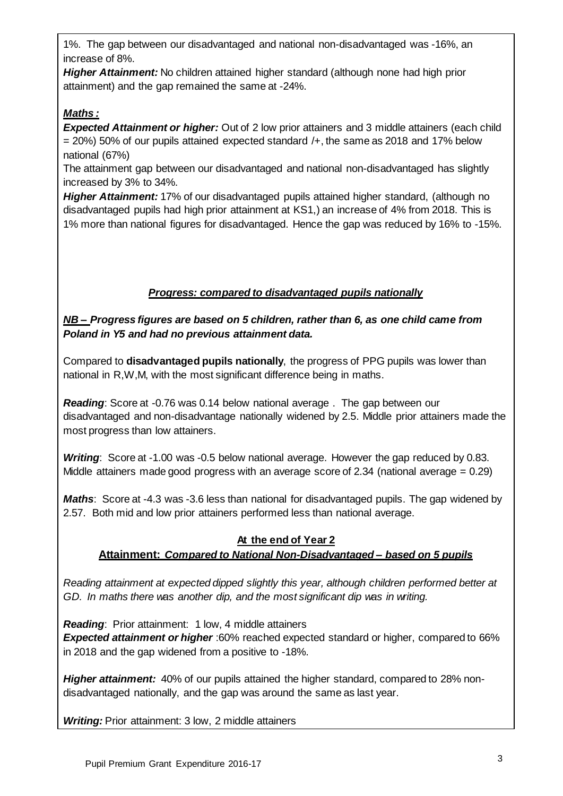1%. The gap between our disadvantaged and national non-disadvantaged was -16%, an increase of 8%.

*Higher Attainment:* No children attained higher standard (although none had high prior attainment) and the gap remained the same at -24%.

# *Maths :*

*Expected Attainment or higher:* Out of 2 low prior attainers and 3 middle attainers (each child  $= 20\%$ ) 50% of our pupils attained expected standard  $/$ +, the same as 2018 and 17% below national (67%)

The attainment gap between our disadvantaged and national non-disadvantaged has slightly increased by 3% to 34%.

*Higher Attainment:* 17% of our disadvantaged pupils attained higher standard, (although no disadvantaged pupils had high prior attainment at KS1,) an increase of 4% from 2018. This is 1% more than national figures for disadvantaged. Hence the gap was reduced by 16% to -15%.

# *Progress: compared to disadvantaged pupils nationally*

## *NB – Progress figures are based on 5 children, rather than 6, as one child came from Poland in Y5 and had no previous attainment data.*

Compared to **disadvantaged pupils nationally**, the progress of PPG pupils was lower than national in R,W,M, with the most significant difference being in maths.

*Reading*: Score at -0.76 was 0.14 below national average . The gap between our disadvantaged and non-disadvantage nationally widened by 2.5. Middle prior attainers made the most progress than low attainers.

*Writing*: Score at -1.00 was -0.5 below national average. However the gap reduced by 0.83. Middle attainers made good progress with an average score of 2.34 (national average = 0.29)

*Maths*: Score at -4.3 was -3.6 less than national for disadvantaged pupils. The gap widened by 2.57. Both mid and low prior attainers performed less than national average.

# **At the end of Year 2**

# **Attainment:** *Compared to National Non-Disadvantaged – based on 5 pupils*

*Reading attainment at expected dipped slightly this year, although children performed better at GD. In maths there was another dip, and the most significant dip was in writing.*

*Reading*: Prior attainment: 1 low, 4 middle attainers *Expected attainment or higher* :60% reached expected standard or higher, compared to 66% in 2018 and the gap widened from a positive to -18%.

*Higher attainment:* 40% of our pupils attained the higher standard, compared to 28% nondisadvantaged nationally, and the gap was around the same as last year.

*Writing:* Prior attainment: 3 low, 2 middle attainers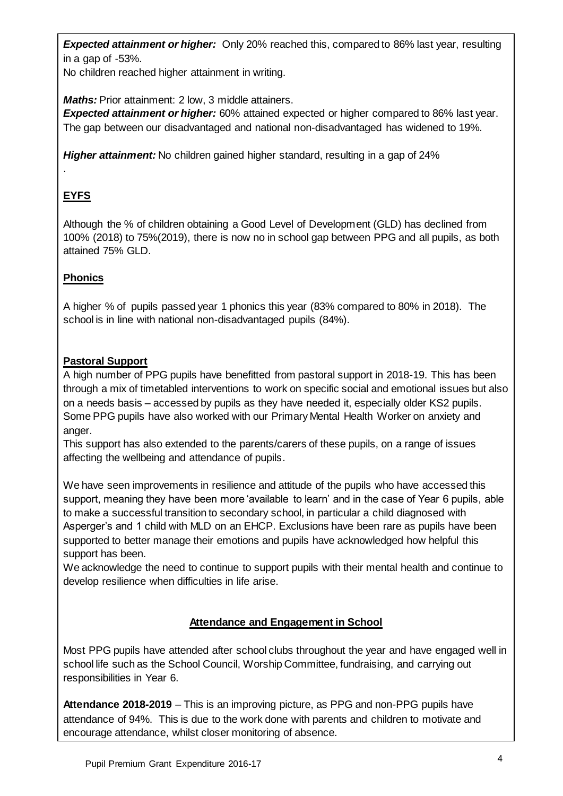*Expected attainment or higher:* Only 20% reached this, compared to 86% last year, resulting in a gap of -53%.

No children reached higher attainment in writing.

*Maths:* Prior attainment: 2 low, 3 middle attainers.

*Expected attainment or higher:* 60% attained expected or higher compared to 86% last year. The gap between our disadvantaged and national non-disadvantaged has widened to 19%.

*Higher attainment:* No children gained higher standard, resulting in a gap of 24%

# **EYFS**

.

Although the % of children obtaining a Good Level of Development (GLD) has declined from 100% (2018) to 75%(2019), there is now no in school gap between PPG and all pupils, as both attained 75% GLD.

## **Phonics**

A higher % of pupils passed year 1 phonics this year (83% compared to 80% in 2018). The school is in line with national non-disadvantaged pupils (84%).

## **Pastoral Support**

A high number of PPG pupils have benefitted from pastoral support in 2018-19. This has been through a mix of timetabled interventions to work on specific social and emotional issues but also on a needs basis – accessed by pupils as they have needed it, especially older KS2 pupils. Some PPG pupils have also worked with our Primary Mental Health Worker on anxiety and anger.

This support has also extended to the parents/carers of these pupils, on a range of issues affecting the wellbeing and attendance of pupils.

We have seen improvements in resilience and attitude of the pupils who have accessed this support, meaning they have been more 'available to learn' and in the case of Year 6 pupils, able to make a successful transition to secondary school, in particular a child diagnosed with Asperger's and 1 child with MLD on an EHCP. Exclusions have been rare as pupils have been supported to better manage their emotions and pupils have acknowledged how helpful this support has been.

We acknowledge the need to continue to support pupils with their mental health and continue to develop resilience when difficulties in life arise.

## **Attendance and Engagement in School**

Most PPG pupils have attended after school clubs throughout the year and have engaged well in school life such as the School Council, Worship Committee, fundraising, and carrying out responsibilities in Year 6.

**Attendance 2018-2019** – This is an improving picture, as PPG and non-PPG pupils have attendance of 94%. This is due to the work done with parents and children to motivate and encourage attendance, whilst closer monitoring of absence.